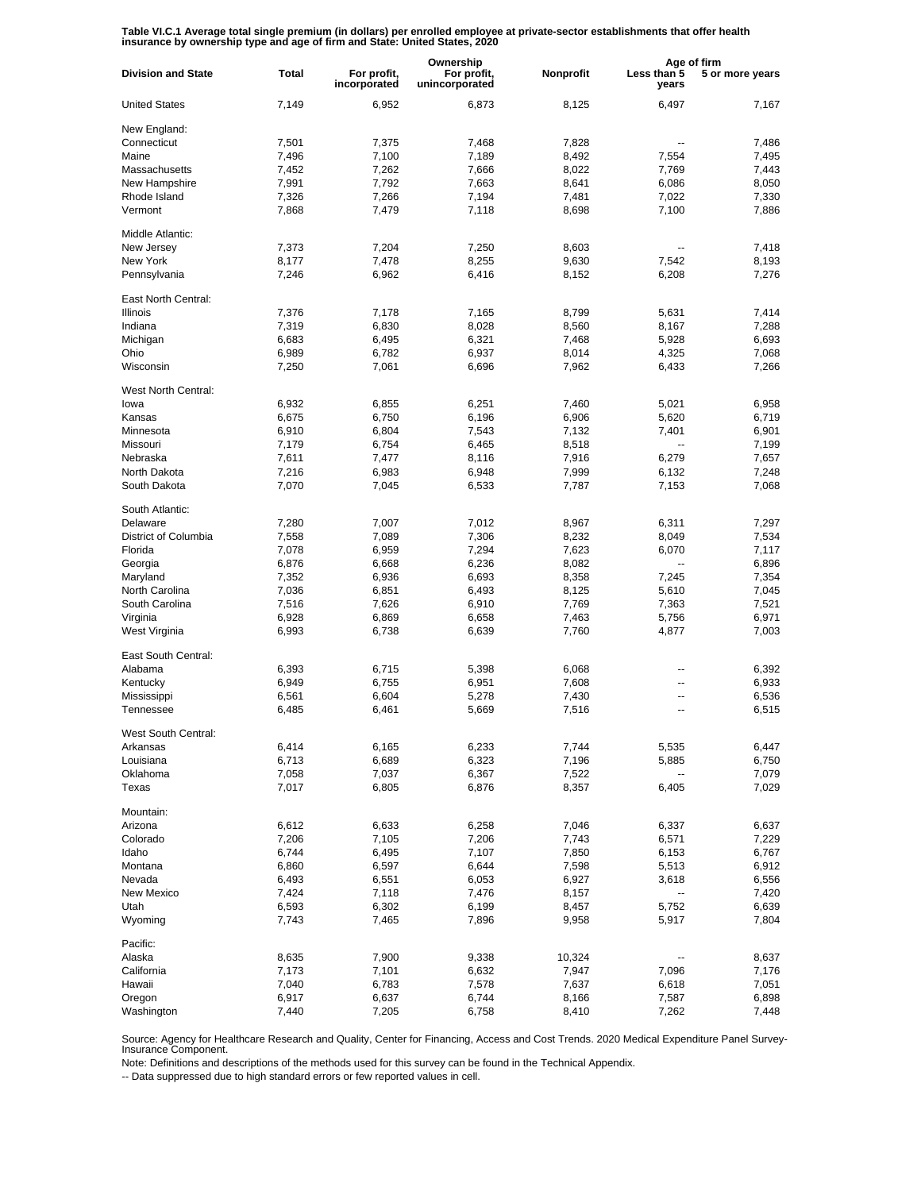**Table VI.C.1 Average total single premium (in dollars) per enrolled employee at private-sector establishments that offer health insurance by ownership type and age of firm and State: United States, 2020**

|                           |              |                             | Ownership                     |           | Age of firm          |                 |
|---------------------------|--------------|-----------------------------|-------------------------------|-----------|----------------------|-----------------|
| <b>Division and State</b> | <b>Total</b> | For profit,<br>incorporated | For profit,<br>unincorporated | Nonprofit | Less than 5<br>years | 5 or more years |
| <b>United States</b>      | 7,149        | 6,952                       | 6,873                         | 8,125     | 6,497                | 7,167           |
| New England:              |              |                             |                               |           |                      |                 |
| Connecticut               | 7,501        | 7,375                       | 7,468                         | 7,828     | ٠.                   | 7.486           |
| Maine                     | 7,496        | 7,100                       | 7,189                         | 8,492     | 7,554                | 7.495           |
| Massachusetts             | 7,452        | 7,262                       | 7,666                         | 8,022     | 7,769                | 7,443           |
| New Hampshire             | 7,991        | 7,792                       | 7,663                         | 8,641     | 6,086                | 8,050           |
| Rhode Island              | 7,326        | 7,266                       | 7,194                         | 7,481     | 7,022                | 7,330           |
| Vermont                   | 7,868        | 7,479                       | 7,118                         | 8,698     | 7,100                | 7,886           |
| Middle Atlantic:          |              |                             |                               |           |                      |                 |
| New Jersey                | 7,373        | 7,204                       | 7,250                         | 8,603     |                      | 7,418           |
| New York                  | 8,177        | 7,478                       | 8,255                         | 9,630     | 7,542                | 8,193           |
| Pennsylvania              | 7,246        | 6,962                       | 6,416                         | 8,152     | 6,208                | 7,276           |
| East North Central:       |              |                             |                               |           |                      |                 |
| <b>Illinois</b>           | 7,376        | 7,178                       | 7,165                         | 8,799     | 5,631                | 7,414           |
| Indiana                   | 7,319        | 6,830                       | 8,028                         | 8,560     | 8,167                | 7,288           |
| Michigan                  | 6,683        | 6,495                       | 6,321                         | 7,468     | 5,928                | 6,693           |
| Ohio                      | 6,989        | 6,782                       | 6,937                         | 8,014     | 4,325                | 7,068           |
| Wisconsin                 |              |                             |                               |           |                      |                 |
|                           | 7,250        | 7,061                       | 6,696                         | 7,962     | 6,433                | 7,266           |
| West North Central:       |              |                             |                               |           |                      |                 |
| lowa                      | 6,932        | 6,855                       | 6,251                         | 7,460     | 5,021                | 6,958           |
| Kansas                    | 6,675        | 6,750                       | 6,196                         | 6,906     | 5,620                | 6,719           |
| Minnesota                 | 6,910        | 6,804                       | 7,543                         | 7,132     | 7,401                | 6,901           |
| Missouri                  | 7,179        | 6,754                       | 6,465                         | 8,518     |                      | 7,199           |
| Nebraska                  | 7,611        | 7,477                       | 8,116                         | 7,916     | 6,279                | 7,657           |
| North Dakota              | 7,216        | 6,983                       | 6,948                         | 7,999     | 6,132                | 7,248           |
| South Dakota              | 7,070        | 7,045                       | 6,533                         | 7,787     | 7,153                | 7,068           |
| South Atlantic:           |              |                             |                               |           |                      |                 |
| Delaware                  | 7,280        | 7,007                       | 7,012                         | 8,967     | 6,311                | 7,297           |
| District of Columbia      | 7,558        | 7,089                       | 7,306                         | 8,232     | 8,049                | 7,534           |
| Florida                   | 7,078        | 6,959                       | 7,294                         | 7,623     | 6,070                | 7,117           |
| Georgia                   | 6,876        | 6,668                       | 6,236                         | 8,082     | --                   | 6,896           |
|                           |              |                             |                               |           |                      |                 |
| Maryland                  | 7,352        | 6,936                       | 6,693                         | 8,358     | 7,245                | 7,354           |
| North Carolina            | 7,036        | 6,851                       | 6,493                         | 8,125     | 5,610                | 7,045           |
| South Carolina            | 7,516        | 7,626                       | 6,910                         | 7,769     | 7,363                | 7,521           |
| Virginia                  | 6,928        | 6,869                       | 6,658                         | 7,463     | 5,756                | 6,971           |
| West Virginia             | 6,993        | 6,738                       | 6,639                         | 7,760     | 4,877                | 7,003           |
| East South Central:       |              |                             |                               |           |                      |                 |
| Alabama                   | 6,393        | 6,715                       | 5,398                         | 6,068     | --                   | 6,392           |
| Kentucky                  | 6,949        | 6,755                       | 6,951                         | 7,608     | ۵.                   | 6,933           |
| Mississippi               | 6,561        | 6,604                       | 5,278                         | 7,430     | --                   | 6,536           |
| Tennessee                 | 6,485        | 6,461                       | 5,669                         | 7,516     | ۵.                   | 6,515           |
| West South Central:       |              |                             |                               |           |                      |                 |
| Arkansas                  | 6,414        | 6,165                       | 6,233                         | 7,744     | 5,535                | 6,447           |
| Louisiana                 | 6,713        | 6,689                       | 6,323                         | 7,196     | 5,885                | 6,750           |
| Oklahoma                  | 7,058        | 7,037                       | 6,367                         | 7,522     | --                   | 7,079           |
| Texas                     | 7,017        | 6,805                       | 6,876                         | 8,357     | 6,405                | 7,029           |
| Mountain:                 |              |                             |                               |           |                      |                 |
| Arizona                   | 6,612        | 6,633                       | 6,258                         | 7,046     | 6,337                | 6,637           |
|                           |              |                             |                               |           |                      |                 |
| Colorado                  | 7,206        | 7,105                       | 7,206                         | 7,743     | 6,571                | 7,229           |
| Idaho                     | 6,744        | 6,495                       | 7,107                         | 7,850     | 6,153                | 6,767           |
| Montana                   | 6,860        | 6,597                       | 6,644                         | 7,598     | 5,513                | 6,912           |
| Nevada                    | 6,493        | 6,551                       | 6,053                         | 6,927     | 3,618                | 6,556           |
| New Mexico                | 7,424        | 7,118                       | 7,476                         | 8,157     | -−                   | 7,420           |
| Utah                      | 6,593        | 6,302                       | 6,199                         | 8,457     | 5,752                | 6,639           |
| Wyoming                   | 7,743        | 7,465                       | 7,896                         | 9,958     | 5,917                | 7,804           |
| Pacific:                  |              |                             |                               |           |                      |                 |
| Alaska                    | 8,635        | 7,900                       | 9,338                         | 10,324    |                      | 8,637           |
| California                | 7,173        | 7,101                       | 6,632                         | 7,947     | 7,096                | 7,176           |
| Hawaii                    | 7,040        | 6,783                       | 7,578                         | 7,637     | 6,618                | 7,051           |
| Oregon                    | 6,917        | 6,637                       | 6,744                         | 8,166     | 7,587                | 6,898           |
| Washington                | 7,440        | 7,205                       | 6,758                         | 8,410     | 7,262                | 7,448           |
|                           |              |                             |                               |           |                      |                 |

Source: Agency for Healthcare Research and Quality, Center for Financing, Access and Cost Trends. 2020 Medical Expenditure Panel Survey-Insurance Component.

Note: Definitions and descriptions of the methods used for this survey can be found in the Technical Appendix.

-- Data suppressed due to high standard errors or few reported values in cell.